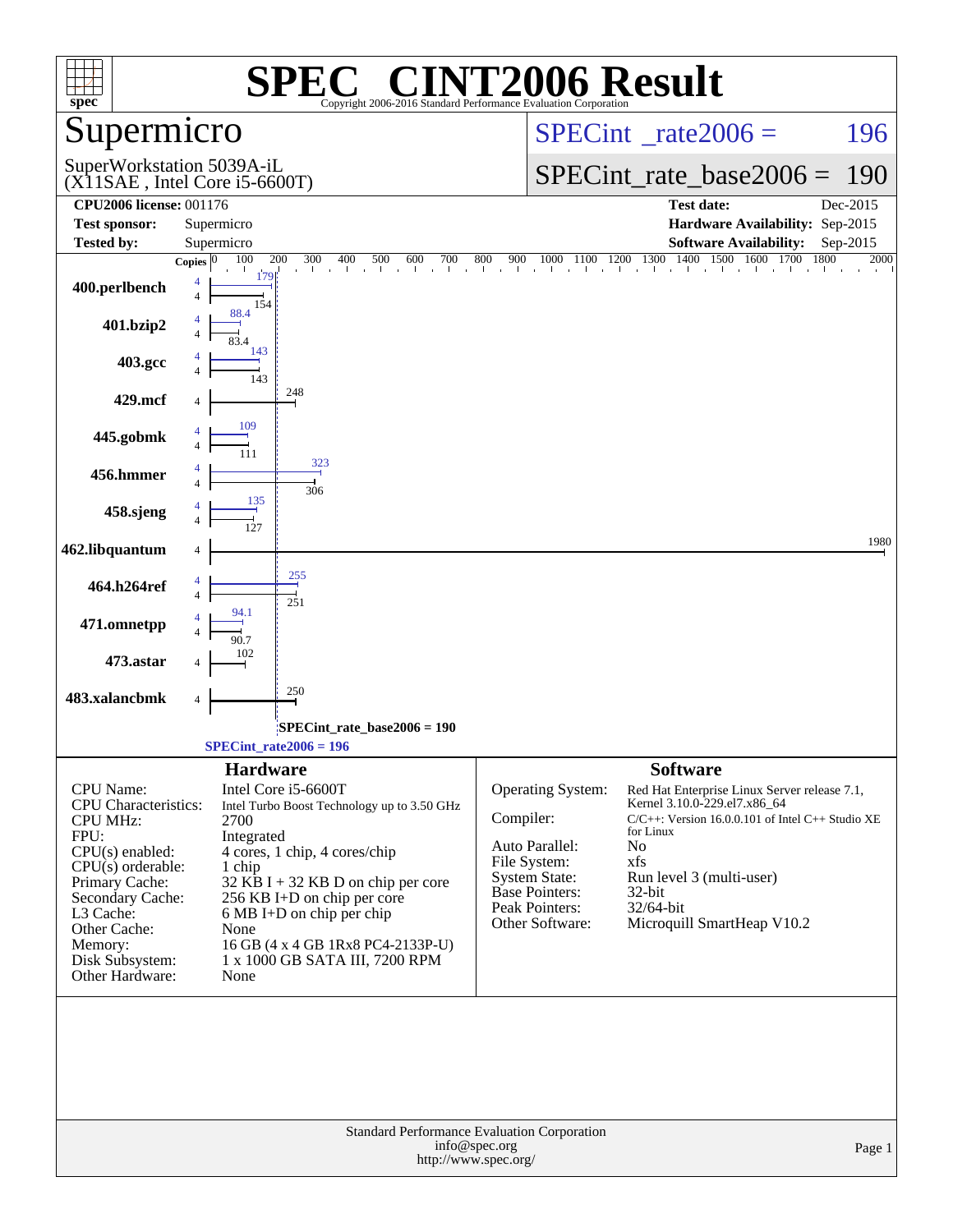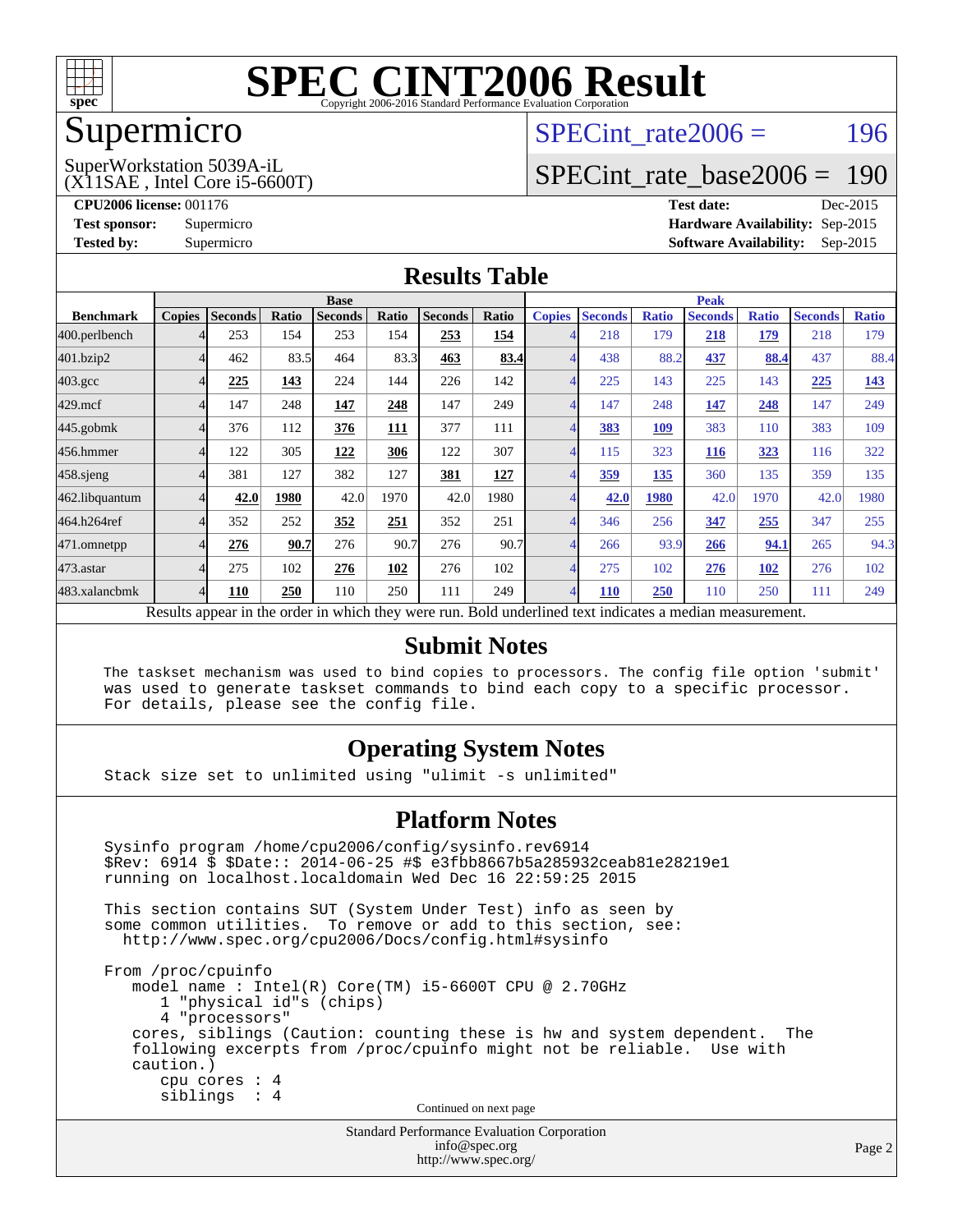

#### Supermicro

### SPECint rate $2006 = 196$

#### (X11SAE , Intel Core i5-6600T) SuperWorkstation 5039A-iL

[SPECint\\_rate\\_base2006 =](http://www.spec.org/auto/cpu2006/Docs/result-fields.html#SPECintratebase2006) 190

**[CPU2006 license:](http://www.spec.org/auto/cpu2006/Docs/result-fields.html#CPU2006license)** 001176 **[Test date:](http://www.spec.org/auto/cpu2006/Docs/result-fields.html#Testdate)** Dec-2015 **[Test sponsor:](http://www.spec.org/auto/cpu2006/Docs/result-fields.html#Testsponsor)** Supermicro **[Hardware Availability:](http://www.spec.org/auto/cpu2006/Docs/result-fields.html#HardwareAvailability)** Sep-2015 **[Tested by:](http://www.spec.org/auto/cpu2006/Docs/result-fields.html#Testedby)** Supermicro **Supermicro [Software Availability:](http://www.spec.org/auto/cpu2006/Docs/result-fields.html#SoftwareAvailability)** Sep-2015

#### **[Results Table](http://www.spec.org/auto/cpu2006/Docs/result-fields.html#ResultsTable)**

|                    | <b>Base</b>                                                                                              |                |       |                |       |                |       |                | <b>Peak</b>    |              |                |              |                |              |  |
|--------------------|----------------------------------------------------------------------------------------------------------|----------------|-------|----------------|-------|----------------|-------|----------------|----------------|--------------|----------------|--------------|----------------|--------------|--|
| <b>Benchmark</b>   | <b>Copies</b>                                                                                            | <b>Seconds</b> | Ratio | <b>Seconds</b> | Ratio | <b>Seconds</b> | Ratio | <b>Copies</b>  | <b>Seconds</b> | <b>Ratio</b> | <b>Seconds</b> | <b>Ratio</b> | <b>Seconds</b> | <b>Ratio</b> |  |
| 400.perlbench      |                                                                                                          | 253            | 154   | 253            | 154   | 253            | 154   |                | 218            | 179          | 218            | 179          | 218            | 179          |  |
| 401.bzip2          |                                                                                                          | 462            | 83.5  | 464            | 83.3  | 463            | 83.4  | $\overline{4}$ | 438            | 88.2         | 437            | 88.4         | 437            | 88.4         |  |
| $403.\mathrm{gcc}$ |                                                                                                          | 225            | 143   | 224            | 144   | 226            | 142   | $\overline{4}$ | 225            | 143          | 225            | 143          | 225            | <u>143</u>   |  |
| $429$ .mcf         |                                                                                                          | 147            | 248   | 147            | 248   | 147            | 249   | $\overline{4}$ | 147            | 248          | 147            | 248          | 147            | 249          |  |
| $445$ .gobm $k$    |                                                                                                          | 376            | 112   | 376            | 111   | 377            | 111   | $\overline{4}$ | 383            | 109          | 383            | 110          | 383            | 109          |  |
| 456.hmmer          |                                                                                                          | 122            | 305   | 122            | 306   | 122            | 307   | $\overline{4}$ | 115            | 323          | <b>116</b>     | 323          | 116            | 322          |  |
| 458.sjeng          |                                                                                                          | 381            | 127   | 382            | 127   | 381            | 127   | 4              | 359            | 135          | 360            | 135          | 359            | 135          |  |
| 462.libquantum     |                                                                                                          | 42.0           | 1980  | 42.0           | 1970  | 42.0           | 1980  | 4              | 42.0           | 1980         | 42.0           | 1970         | 42.0           | 1980         |  |
| 464.h264ref        |                                                                                                          | 352            | 252   | 352            | 251   | 352            | 251   | $\overline{4}$ | 346            | 256          | 347            | 255          | 347            | 255          |  |
| 471.omnetpp        |                                                                                                          | 276            | 90.7  | 276            | 90.7  | 276            | 90.7  | $\overline{4}$ | 266            | 93.9         | 266            | 94.1         | 265            | 94.3         |  |
| 473.astar          |                                                                                                          | 275            | 102   | 276            | 102   | 276            | 102   | $\overline{4}$ | 275            | 102          | 276            | 102          | 276            | 102          |  |
| 483.xalancbmk      | Δ                                                                                                        | 110            | 250   | 110            | 250   | 111            | 249   | $\overline{4}$ | <b>110</b>     | 250          | 110            | 250          | 111            | 249          |  |
|                    | Results appear in the order in which they were run. Bold underlined text indicates a median measurement. |                |       |                |       |                |       |                |                |              |                |              |                |              |  |

#### **[Submit Notes](http://www.spec.org/auto/cpu2006/Docs/result-fields.html#SubmitNotes)**

 The taskset mechanism was used to bind copies to processors. The config file option 'submit' was used to generate taskset commands to bind each copy to a specific processor. For details, please see the config file.

#### **[Operating System Notes](http://www.spec.org/auto/cpu2006/Docs/result-fields.html#OperatingSystemNotes)**

Stack size set to unlimited using "ulimit -s unlimited"

#### **[Platform Notes](http://www.spec.org/auto/cpu2006/Docs/result-fields.html#PlatformNotes)**

 Sysinfo program /home/cpu2006/config/sysinfo.rev6914 \$Rev: 6914 \$ \$Date:: 2014-06-25 #\$ e3fbb8667b5a285932ceab81e28219e1 running on localhost.localdomain Wed Dec 16 22:59:25 2015 This section contains SUT (System Under Test) info as seen by some common utilities. To remove or add to this section, see: <http://www.spec.org/cpu2006/Docs/config.html#sysinfo> From /proc/cpuinfo model name : Intel(R) Core(TM) i5-6600T CPU @ 2.70GHz 1 "physical id"s (chips) 4 "processors" cores, siblings (Caution: counting these is hw and system dependent. The following excerpts from /proc/cpuinfo might not be reliable. Use with caution.) cpu cores : 4 siblings : 4 Continued on next page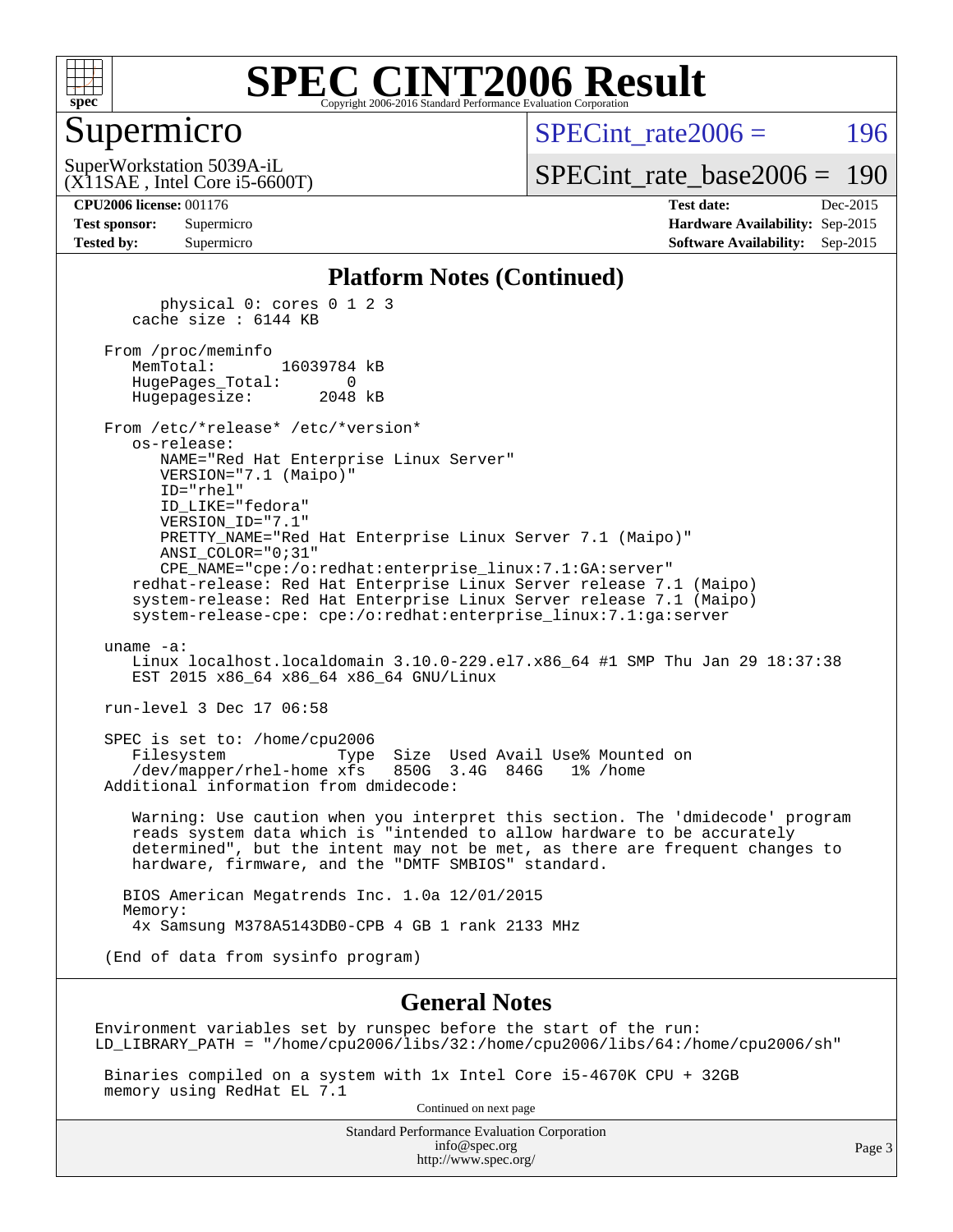

#### Supermicro

SPECint rate $2006 = 196$ 

(X11SAE , Intel Core i5-6600T) SuperWorkstation 5039A-iL

[SPECint\\_rate\\_base2006 =](http://www.spec.org/auto/cpu2006/Docs/result-fields.html#SPECintratebase2006) 190

**[CPU2006 license:](http://www.spec.org/auto/cpu2006/Docs/result-fields.html#CPU2006license)** 001176 **[Test date:](http://www.spec.org/auto/cpu2006/Docs/result-fields.html#Testdate)** Dec-2015 **[Test sponsor:](http://www.spec.org/auto/cpu2006/Docs/result-fields.html#Testsponsor)** Supermicro **[Hardware Availability:](http://www.spec.org/auto/cpu2006/Docs/result-fields.html#HardwareAvailability)** Sep-2015 **[Tested by:](http://www.spec.org/auto/cpu2006/Docs/result-fields.html#Testedby)** Supermicro **Supermicro [Software Availability:](http://www.spec.org/auto/cpu2006/Docs/result-fields.html#SoftwareAvailability)** Sep-2015

#### **[Platform Notes \(Continued\)](http://www.spec.org/auto/cpu2006/Docs/result-fields.html#PlatformNotes)**

 physical 0: cores 0 1 2 3 cache size : 6144 KB From /proc/meminfo MemTotal: 16039784 kB HugePages\_Total: 0 Hugepagesize: 2048 kB From /etc/\*release\* /etc/\*version\* os-release: NAME="Red Hat Enterprise Linux Server" VERSION="7.1 (Maipo)" ID="rhel" ID\_LIKE="fedora" VERSION\_ID="7.1" PRETTY\_NAME="Red Hat Enterprise Linux Server 7.1 (Maipo)" ANSI\_COLOR="0;31" CPE\_NAME="cpe:/o:redhat:enterprise\_linux:7.1:GA:server" redhat-release: Red Hat Enterprise Linux Server release 7.1 (Maipo) system-release: Red Hat Enterprise Linux Server release 7.1 (Maipo) system-release-cpe: cpe:/o:redhat:enterprise\_linux:7.1:ga:server uname -a: Linux localhost.localdomain 3.10.0-229.el7.x86\_64 #1 SMP Thu Jan 29 18:37:38 EST 2015 x86 64 x86 64 x86 64 GNU/Linux run-level 3 Dec 17 06:58 SPEC is set to: /home/cpu2006 Filesystem Type Size Used Avail Use% Mounted on /dev/mapper/rhel-home xfs 850G 3.4G 846G 1% /home Additional information from dmidecode: Warning: Use caution when you interpret this section. The 'dmidecode' program reads system data which is "intended to allow hardware to be accurately determined", but the intent may not be met, as there are frequent changes to hardware, firmware, and the "DMTF SMBIOS" standard.

 BIOS American Megatrends Inc. 1.0a 12/01/2015 Memory: 4x Samsung M378A5143DB0-CPB 4 GB 1 rank 2133 MHz

(End of data from sysinfo program)

#### **[General Notes](http://www.spec.org/auto/cpu2006/Docs/result-fields.html#GeneralNotes)**

Environment variables set by runspec before the start of the run: LD\_LIBRARY\_PATH = "/home/cpu2006/libs/32:/home/cpu2006/libs/64:/home/cpu2006/sh"

 Binaries compiled on a system with 1x Intel Core i5-4670K CPU + 32GB memory using RedHat EL 7.1

Continued on next page

Standard Performance Evaluation Corporation [info@spec.org](mailto:info@spec.org) <http://www.spec.org/>

Page 3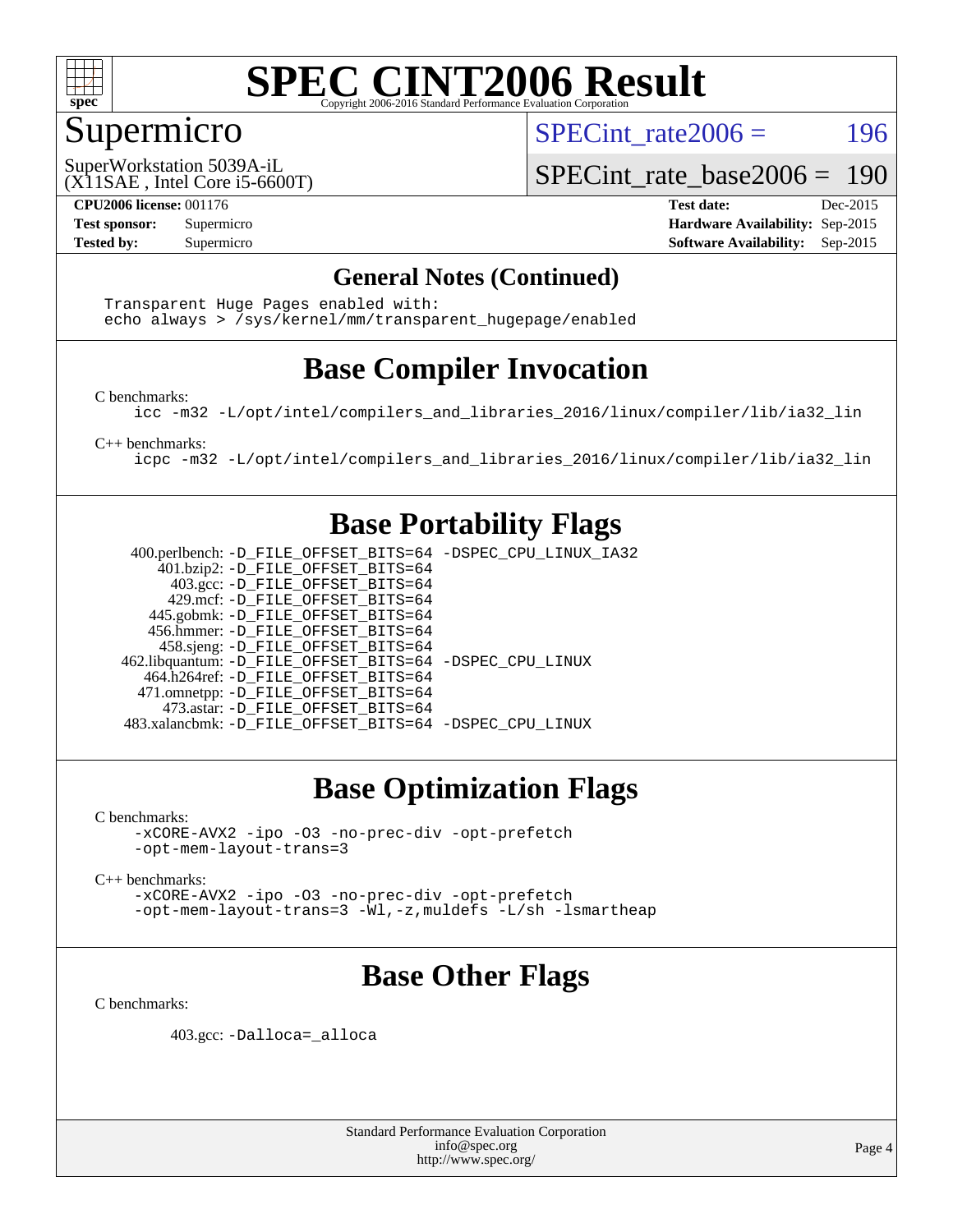

### Supermicro

SPECint rate $2006 = 196$ 

(X11SAE , Intel Core i5-6600T) SuperWorkstation 5039A-iL

SPECint rate base  $2006 = 190$ 

**[CPU2006 license:](http://www.spec.org/auto/cpu2006/Docs/result-fields.html#CPU2006license)** 001176 **[Test date:](http://www.spec.org/auto/cpu2006/Docs/result-fields.html#Testdate)** Dec-2015 **[Test sponsor:](http://www.spec.org/auto/cpu2006/Docs/result-fields.html#Testsponsor)** Supermicro **[Hardware Availability:](http://www.spec.org/auto/cpu2006/Docs/result-fields.html#HardwareAvailability)** Sep-2015 **[Tested by:](http://www.spec.org/auto/cpu2006/Docs/result-fields.html#Testedby)** Supermicro **Supermicro [Software Availability:](http://www.spec.org/auto/cpu2006/Docs/result-fields.html#SoftwareAvailability)** Sep-2015

#### **[General Notes \(Continued\)](http://www.spec.org/auto/cpu2006/Docs/result-fields.html#GeneralNotes)**

 Transparent Huge Pages enabled with: echo always > /sys/kernel/mm/transparent\_hugepage/enabled

### **[Base Compiler Invocation](http://www.spec.org/auto/cpu2006/Docs/result-fields.html#BaseCompilerInvocation)**

[C benchmarks](http://www.spec.org/auto/cpu2006/Docs/result-fields.html#Cbenchmarks):

[icc -m32 -L/opt/intel/compilers\\_and\\_libraries\\_2016/linux/compiler/lib/ia32\\_lin](http://www.spec.org/cpu2006/results/res2016q1/cpu2006-20151223-38507.flags.html#user_CCbase_intel_icc_e10256ba5924b668798078a321b0cb3f)

[C++ benchmarks:](http://www.spec.org/auto/cpu2006/Docs/result-fields.html#CXXbenchmarks)

[icpc -m32 -L/opt/intel/compilers\\_and\\_libraries\\_2016/linux/compiler/lib/ia32\\_lin](http://www.spec.org/cpu2006/results/res2016q1/cpu2006-20151223-38507.flags.html#user_CXXbase_intel_icpc_b4f50a394bdb4597aa5879c16bc3f5c5)

#### **[Base Portability Flags](http://www.spec.org/auto/cpu2006/Docs/result-fields.html#BasePortabilityFlags)**

 400.perlbench: [-D\\_FILE\\_OFFSET\\_BITS=64](http://www.spec.org/cpu2006/results/res2016q1/cpu2006-20151223-38507.flags.html#user_basePORTABILITY400_perlbench_file_offset_bits_64_438cf9856305ebd76870a2c6dc2689ab) [-DSPEC\\_CPU\\_LINUX\\_IA32](http://www.spec.org/cpu2006/results/res2016q1/cpu2006-20151223-38507.flags.html#b400.perlbench_baseCPORTABILITY_DSPEC_CPU_LINUX_IA32) 401.bzip2: [-D\\_FILE\\_OFFSET\\_BITS=64](http://www.spec.org/cpu2006/results/res2016q1/cpu2006-20151223-38507.flags.html#user_basePORTABILITY401_bzip2_file_offset_bits_64_438cf9856305ebd76870a2c6dc2689ab) 403.gcc: [-D\\_FILE\\_OFFSET\\_BITS=64](http://www.spec.org/cpu2006/results/res2016q1/cpu2006-20151223-38507.flags.html#user_basePORTABILITY403_gcc_file_offset_bits_64_438cf9856305ebd76870a2c6dc2689ab) 429.mcf: [-D\\_FILE\\_OFFSET\\_BITS=64](http://www.spec.org/cpu2006/results/res2016q1/cpu2006-20151223-38507.flags.html#user_basePORTABILITY429_mcf_file_offset_bits_64_438cf9856305ebd76870a2c6dc2689ab) 445.gobmk: [-D\\_FILE\\_OFFSET\\_BITS=64](http://www.spec.org/cpu2006/results/res2016q1/cpu2006-20151223-38507.flags.html#user_basePORTABILITY445_gobmk_file_offset_bits_64_438cf9856305ebd76870a2c6dc2689ab) 456.hmmer: [-D\\_FILE\\_OFFSET\\_BITS=64](http://www.spec.org/cpu2006/results/res2016q1/cpu2006-20151223-38507.flags.html#user_basePORTABILITY456_hmmer_file_offset_bits_64_438cf9856305ebd76870a2c6dc2689ab) 458.sjeng: [-D\\_FILE\\_OFFSET\\_BITS=64](http://www.spec.org/cpu2006/results/res2016q1/cpu2006-20151223-38507.flags.html#user_basePORTABILITY458_sjeng_file_offset_bits_64_438cf9856305ebd76870a2c6dc2689ab) 462.libquantum: [-D\\_FILE\\_OFFSET\\_BITS=64](http://www.spec.org/cpu2006/results/res2016q1/cpu2006-20151223-38507.flags.html#user_basePORTABILITY462_libquantum_file_offset_bits_64_438cf9856305ebd76870a2c6dc2689ab) [-DSPEC\\_CPU\\_LINUX](http://www.spec.org/cpu2006/results/res2016q1/cpu2006-20151223-38507.flags.html#b462.libquantum_baseCPORTABILITY_DSPEC_CPU_LINUX) 464.h264ref: [-D\\_FILE\\_OFFSET\\_BITS=64](http://www.spec.org/cpu2006/results/res2016q1/cpu2006-20151223-38507.flags.html#user_basePORTABILITY464_h264ref_file_offset_bits_64_438cf9856305ebd76870a2c6dc2689ab) 471.omnetpp: [-D\\_FILE\\_OFFSET\\_BITS=64](http://www.spec.org/cpu2006/results/res2016q1/cpu2006-20151223-38507.flags.html#user_basePORTABILITY471_omnetpp_file_offset_bits_64_438cf9856305ebd76870a2c6dc2689ab) 473.astar: [-D\\_FILE\\_OFFSET\\_BITS=64](http://www.spec.org/cpu2006/results/res2016q1/cpu2006-20151223-38507.flags.html#user_basePORTABILITY473_astar_file_offset_bits_64_438cf9856305ebd76870a2c6dc2689ab) 483.xalancbmk: [-D\\_FILE\\_OFFSET\\_BITS=64](http://www.spec.org/cpu2006/results/res2016q1/cpu2006-20151223-38507.flags.html#user_basePORTABILITY483_xalancbmk_file_offset_bits_64_438cf9856305ebd76870a2c6dc2689ab) [-DSPEC\\_CPU\\_LINUX](http://www.spec.org/cpu2006/results/res2016q1/cpu2006-20151223-38507.flags.html#b483.xalancbmk_baseCXXPORTABILITY_DSPEC_CPU_LINUX)

### **[Base Optimization Flags](http://www.spec.org/auto/cpu2006/Docs/result-fields.html#BaseOptimizationFlags)**

[C benchmarks](http://www.spec.org/auto/cpu2006/Docs/result-fields.html#Cbenchmarks):

[-xCORE-AVX2](http://www.spec.org/cpu2006/results/res2016q1/cpu2006-20151223-38507.flags.html#user_CCbase_f-xAVX2_5f5fc0cbe2c9f62c816d3e45806c70d7) [-ipo](http://www.spec.org/cpu2006/results/res2016q1/cpu2006-20151223-38507.flags.html#user_CCbase_f-ipo) [-O3](http://www.spec.org/cpu2006/results/res2016q1/cpu2006-20151223-38507.flags.html#user_CCbase_f-O3) [-no-prec-div](http://www.spec.org/cpu2006/results/res2016q1/cpu2006-20151223-38507.flags.html#user_CCbase_f-no-prec-div) [-opt-prefetch](http://www.spec.org/cpu2006/results/res2016q1/cpu2006-20151223-38507.flags.html#user_CCbase_f-opt-prefetch) [-opt-mem-layout-trans=3](http://www.spec.org/cpu2006/results/res2016q1/cpu2006-20151223-38507.flags.html#user_CCbase_f-opt-mem-layout-trans_a7b82ad4bd7abf52556d4961a2ae94d5)

[C++ benchmarks:](http://www.spec.org/auto/cpu2006/Docs/result-fields.html#CXXbenchmarks)

[-xCORE-AVX2](http://www.spec.org/cpu2006/results/res2016q1/cpu2006-20151223-38507.flags.html#user_CXXbase_f-xAVX2_5f5fc0cbe2c9f62c816d3e45806c70d7) [-ipo](http://www.spec.org/cpu2006/results/res2016q1/cpu2006-20151223-38507.flags.html#user_CXXbase_f-ipo) [-O3](http://www.spec.org/cpu2006/results/res2016q1/cpu2006-20151223-38507.flags.html#user_CXXbase_f-O3) [-no-prec-div](http://www.spec.org/cpu2006/results/res2016q1/cpu2006-20151223-38507.flags.html#user_CXXbase_f-no-prec-div) [-opt-prefetch](http://www.spec.org/cpu2006/results/res2016q1/cpu2006-20151223-38507.flags.html#user_CXXbase_f-opt-prefetch) [-opt-mem-layout-trans=3](http://www.spec.org/cpu2006/results/res2016q1/cpu2006-20151223-38507.flags.html#user_CXXbase_f-opt-mem-layout-trans_a7b82ad4bd7abf52556d4961a2ae94d5) [-Wl,-z,muldefs](http://www.spec.org/cpu2006/results/res2016q1/cpu2006-20151223-38507.flags.html#user_CXXbase_link_force_multiple1_74079c344b956b9658436fd1b6dd3a8a) [-L/sh -lsmartheap](http://www.spec.org/cpu2006/results/res2016q1/cpu2006-20151223-38507.flags.html#user_CXXbase_SmartHeap_32f6c82aa1ed9c52345d30cf6e4a0499)

### **[Base Other Flags](http://www.spec.org/auto/cpu2006/Docs/result-fields.html#BaseOtherFlags)**

[C benchmarks](http://www.spec.org/auto/cpu2006/Docs/result-fields.html#Cbenchmarks):

403.gcc: [-Dalloca=\\_alloca](http://www.spec.org/cpu2006/results/res2016q1/cpu2006-20151223-38507.flags.html#b403.gcc_baseEXTRA_CFLAGS_Dalloca_be3056838c12de2578596ca5467af7f3)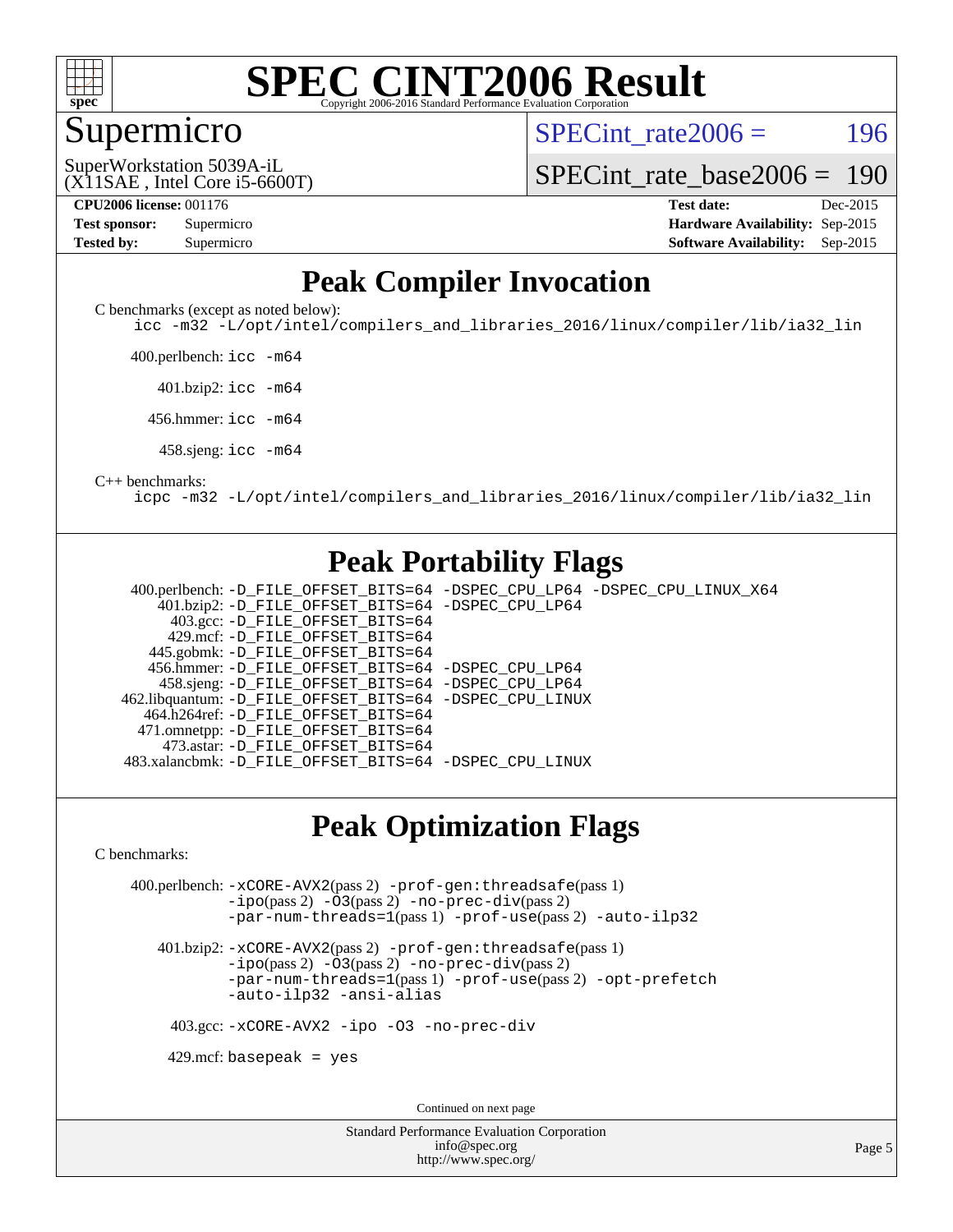

#### Supermicro

SPECint rate $2006 = 196$ 

(X11SAE , Intel Core i5-6600T) SuperWorkstation 5039A-iL

[SPECint\\_rate\\_base2006 =](http://www.spec.org/auto/cpu2006/Docs/result-fields.html#SPECintratebase2006) 190

| <b>Test sponsor:</b> | Supermicro |
|----------------------|------------|
| <b>Tested by:</b>    | Supermicro |

**[CPU2006 license:](http://www.spec.org/auto/cpu2006/Docs/result-fields.html#CPU2006license)** 001176 **[Test date:](http://www.spec.org/auto/cpu2006/Docs/result-fields.html#Testdate)** Dec-2015 **[Hardware Availability:](http://www.spec.org/auto/cpu2006/Docs/result-fields.html#HardwareAvailability)** Sep-2015 **[Software Availability:](http://www.spec.org/auto/cpu2006/Docs/result-fields.html#SoftwareAvailability)** Sep-2015

#### **[Peak Compiler Invocation](http://www.spec.org/auto/cpu2006/Docs/result-fields.html#PeakCompilerInvocation)**

[C benchmarks \(except as noted below\)](http://www.spec.org/auto/cpu2006/Docs/result-fields.html#Cbenchmarksexceptasnotedbelow):

[icc -m32 -L/opt/intel/compilers\\_and\\_libraries\\_2016/linux/compiler/lib/ia32\\_lin](http://www.spec.org/cpu2006/results/res2016q1/cpu2006-20151223-38507.flags.html#user_CCpeak_intel_icc_e10256ba5924b668798078a321b0cb3f)

400.perlbench: [icc -m64](http://www.spec.org/cpu2006/results/res2016q1/cpu2006-20151223-38507.flags.html#user_peakCCLD400_perlbench_intel_icc_64bit_bda6cc9af1fdbb0edc3795bac97ada53)

401.bzip2: [icc -m64](http://www.spec.org/cpu2006/results/res2016q1/cpu2006-20151223-38507.flags.html#user_peakCCLD401_bzip2_intel_icc_64bit_bda6cc9af1fdbb0edc3795bac97ada53)

456.hmmer: [icc -m64](http://www.spec.org/cpu2006/results/res2016q1/cpu2006-20151223-38507.flags.html#user_peakCCLD456_hmmer_intel_icc_64bit_bda6cc9af1fdbb0edc3795bac97ada53)

458.sjeng: [icc -m64](http://www.spec.org/cpu2006/results/res2016q1/cpu2006-20151223-38507.flags.html#user_peakCCLD458_sjeng_intel_icc_64bit_bda6cc9af1fdbb0edc3795bac97ada53)

#### [C++ benchmarks:](http://www.spec.org/auto/cpu2006/Docs/result-fields.html#CXXbenchmarks)

[icpc -m32 -L/opt/intel/compilers\\_and\\_libraries\\_2016/linux/compiler/lib/ia32\\_lin](http://www.spec.org/cpu2006/results/res2016q1/cpu2006-20151223-38507.flags.html#user_CXXpeak_intel_icpc_b4f50a394bdb4597aa5879c16bc3f5c5)

#### **[Peak Portability Flags](http://www.spec.org/auto/cpu2006/Docs/result-fields.html#PeakPortabilityFlags)**

 400.perlbench: [-D\\_FILE\\_OFFSET\\_BITS=64](http://www.spec.org/cpu2006/results/res2016q1/cpu2006-20151223-38507.flags.html#user_peakPORTABILITY400_perlbench_file_offset_bits_64_438cf9856305ebd76870a2c6dc2689ab) [-DSPEC\\_CPU\\_LP64](http://www.spec.org/cpu2006/results/res2016q1/cpu2006-20151223-38507.flags.html#b400.perlbench_peakCPORTABILITY_DSPEC_CPU_LP64) [-DSPEC\\_CPU\\_LINUX\\_X64](http://www.spec.org/cpu2006/results/res2016q1/cpu2006-20151223-38507.flags.html#b400.perlbench_peakCPORTABILITY_DSPEC_CPU_LINUX_X64) 401.bzip2: [-D\\_FILE\\_OFFSET\\_BITS=64](http://www.spec.org/cpu2006/results/res2016q1/cpu2006-20151223-38507.flags.html#user_peakPORTABILITY401_bzip2_file_offset_bits_64_438cf9856305ebd76870a2c6dc2689ab) [-DSPEC\\_CPU\\_LP64](http://www.spec.org/cpu2006/results/res2016q1/cpu2006-20151223-38507.flags.html#suite_peakCPORTABILITY401_bzip2_DSPEC_CPU_LP64) 403.gcc: [-D\\_FILE\\_OFFSET\\_BITS=64](http://www.spec.org/cpu2006/results/res2016q1/cpu2006-20151223-38507.flags.html#user_peakPORTABILITY403_gcc_file_offset_bits_64_438cf9856305ebd76870a2c6dc2689ab) 429.mcf: [-D\\_FILE\\_OFFSET\\_BITS=64](http://www.spec.org/cpu2006/results/res2016q1/cpu2006-20151223-38507.flags.html#user_peakPORTABILITY429_mcf_file_offset_bits_64_438cf9856305ebd76870a2c6dc2689ab) 445.gobmk: [-D\\_FILE\\_OFFSET\\_BITS=64](http://www.spec.org/cpu2006/results/res2016q1/cpu2006-20151223-38507.flags.html#user_peakPORTABILITY445_gobmk_file_offset_bits_64_438cf9856305ebd76870a2c6dc2689ab) 456.hmmer: [-D\\_FILE\\_OFFSET\\_BITS=64](http://www.spec.org/cpu2006/results/res2016q1/cpu2006-20151223-38507.flags.html#user_peakPORTABILITY456_hmmer_file_offset_bits_64_438cf9856305ebd76870a2c6dc2689ab) [-DSPEC\\_CPU\\_LP64](http://www.spec.org/cpu2006/results/res2016q1/cpu2006-20151223-38507.flags.html#suite_peakCPORTABILITY456_hmmer_DSPEC_CPU_LP64) 458.sjeng: [-D\\_FILE\\_OFFSET\\_BITS=64](http://www.spec.org/cpu2006/results/res2016q1/cpu2006-20151223-38507.flags.html#user_peakPORTABILITY458_sjeng_file_offset_bits_64_438cf9856305ebd76870a2c6dc2689ab) [-DSPEC\\_CPU\\_LP64](http://www.spec.org/cpu2006/results/res2016q1/cpu2006-20151223-38507.flags.html#suite_peakCPORTABILITY458_sjeng_DSPEC_CPU_LP64) 462.libquantum: [-D\\_FILE\\_OFFSET\\_BITS=64](http://www.spec.org/cpu2006/results/res2016q1/cpu2006-20151223-38507.flags.html#user_peakPORTABILITY462_libquantum_file_offset_bits_64_438cf9856305ebd76870a2c6dc2689ab) [-DSPEC\\_CPU\\_LINUX](http://www.spec.org/cpu2006/results/res2016q1/cpu2006-20151223-38507.flags.html#b462.libquantum_peakCPORTABILITY_DSPEC_CPU_LINUX) 464.h264ref: [-D\\_FILE\\_OFFSET\\_BITS=64](http://www.spec.org/cpu2006/results/res2016q1/cpu2006-20151223-38507.flags.html#user_peakPORTABILITY464_h264ref_file_offset_bits_64_438cf9856305ebd76870a2c6dc2689ab) 471.omnetpp: [-D\\_FILE\\_OFFSET\\_BITS=64](http://www.spec.org/cpu2006/results/res2016q1/cpu2006-20151223-38507.flags.html#user_peakPORTABILITY471_omnetpp_file_offset_bits_64_438cf9856305ebd76870a2c6dc2689ab) 473.astar: [-D\\_FILE\\_OFFSET\\_BITS=64](http://www.spec.org/cpu2006/results/res2016q1/cpu2006-20151223-38507.flags.html#user_peakPORTABILITY473_astar_file_offset_bits_64_438cf9856305ebd76870a2c6dc2689ab) 483.xalancbmk: [-D\\_FILE\\_OFFSET\\_BITS=64](http://www.spec.org/cpu2006/results/res2016q1/cpu2006-20151223-38507.flags.html#user_peakPORTABILITY483_xalancbmk_file_offset_bits_64_438cf9856305ebd76870a2c6dc2689ab) [-DSPEC\\_CPU\\_LINUX](http://www.spec.org/cpu2006/results/res2016q1/cpu2006-20151223-38507.flags.html#b483.xalancbmk_peakCXXPORTABILITY_DSPEC_CPU_LINUX)

#### **[Peak Optimization Flags](http://www.spec.org/auto/cpu2006/Docs/result-fields.html#PeakOptimizationFlags)**

[C benchmarks](http://www.spec.org/auto/cpu2006/Docs/result-fields.html#Cbenchmarks):

 400.perlbench: [-xCORE-AVX2](http://www.spec.org/cpu2006/results/res2016q1/cpu2006-20151223-38507.flags.html#user_peakPASS2_CFLAGSPASS2_LDCFLAGS400_perlbench_f-xAVX2_5f5fc0cbe2c9f62c816d3e45806c70d7)(pass 2) [-prof-gen:threadsafe](http://www.spec.org/cpu2006/results/res2016q1/cpu2006-20151223-38507.flags.html#user_peakPASS1_CFLAGSPASS1_LDCFLAGS400_perlbench_prof_gen_21a26eb79f378b550acd7bec9fe4467a)(pass 1) [-ipo](http://www.spec.org/cpu2006/results/res2016q1/cpu2006-20151223-38507.flags.html#user_peakPASS2_CFLAGSPASS2_LDCFLAGS400_perlbench_f-ipo)(pass 2) [-O3](http://www.spec.org/cpu2006/results/res2016q1/cpu2006-20151223-38507.flags.html#user_peakPASS2_CFLAGSPASS2_LDCFLAGS400_perlbench_f-O3)(pass 2) [-no-prec-div](http://www.spec.org/cpu2006/results/res2016q1/cpu2006-20151223-38507.flags.html#user_peakPASS2_CFLAGSPASS2_LDCFLAGS400_perlbench_f-no-prec-div)(pass 2) [-par-num-threads=1](http://www.spec.org/cpu2006/results/res2016q1/cpu2006-20151223-38507.flags.html#user_peakPASS1_CFLAGSPASS1_LDCFLAGS400_perlbench_par_num_threads_786a6ff141b4e9e90432e998842df6c2)(pass 1) [-prof-use](http://www.spec.org/cpu2006/results/res2016q1/cpu2006-20151223-38507.flags.html#user_peakPASS2_CFLAGSPASS2_LDCFLAGS400_perlbench_prof_use_bccf7792157ff70d64e32fe3e1250b55)(pass 2) [-auto-ilp32](http://www.spec.org/cpu2006/results/res2016q1/cpu2006-20151223-38507.flags.html#user_peakCOPTIMIZE400_perlbench_f-auto-ilp32)

 401.bzip2: [-xCORE-AVX2](http://www.spec.org/cpu2006/results/res2016q1/cpu2006-20151223-38507.flags.html#user_peakPASS2_CFLAGSPASS2_LDCFLAGS401_bzip2_f-xAVX2_5f5fc0cbe2c9f62c816d3e45806c70d7)(pass 2) [-prof-gen:threadsafe](http://www.spec.org/cpu2006/results/res2016q1/cpu2006-20151223-38507.flags.html#user_peakPASS1_CFLAGSPASS1_LDCFLAGS401_bzip2_prof_gen_21a26eb79f378b550acd7bec9fe4467a)(pass 1)  $-i\text{po}(pass 2)$  [-O3](http://www.spec.org/cpu2006/results/res2016q1/cpu2006-20151223-38507.flags.html#user_peakPASS2_CFLAGSPASS2_LDCFLAGS401_bzip2_f-O3) $(pass 2)$  [-no-prec-div](http://www.spec.org/cpu2006/results/res2016q1/cpu2006-20151223-38507.flags.html#user_peakPASS2_CFLAGSPASS2_LDCFLAGS401_bzip2_f-no-prec-div) $(pass 2)$ [-par-num-threads=1](http://www.spec.org/cpu2006/results/res2016q1/cpu2006-20151223-38507.flags.html#user_peakPASS1_CFLAGSPASS1_LDCFLAGS401_bzip2_par_num_threads_786a6ff141b4e9e90432e998842df6c2)(pass 1) [-prof-use](http://www.spec.org/cpu2006/results/res2016q1/cpu2006-20151223-38507.flags.html#user_peakPASS2_CFLAGSPASS2_LDCFLAGS401_bzip2_prof_use_bccf7792157ff70d64e32fe3e1250b55)(pass 2) [-opt-prefetch](http://www.spec.org/cpu2006/results/res2016q1/cpu2006-20151223-38507.flags.html#user_peakCOPTIMIZE401_bzip2_f-opt-prefetch) [-auto-ilp32](http://www.spec.org/cpu2006/results/res2016q1/cpu2006-20151223-38507.flags.html#user_peakCOPTIMIZE401_bzip2_f-auto-ilp32) [-ansi-alias](http://www.spec.org/cpu2006/results/res2016q1/cpu2006-20151223-38507.flags.html#user_peakCOPTIMIZE401_bzip2_f-ansi-alias)

403.gcc: [-xCORE-AVX2](http://www.spec.org/cpu2006/results/res2016q1/cpu2006-20151223-38507.flags.html#user_peakCOPTIMIZE403_gcc_f-xAVX2_5f5fc0cbe2c9f62c816d3e45806c70d7) [-ipo](http://www.spec.org/cpu2006/results/res2016q1/cpu2006-20151223-38507.flags.html#user_peakCOPTIMIZE403_gcc_f-ipo) [-O3](http://www.spec.org/cpu2006/results/res2016q1/cpu2006-20151223-38507.flags.html#user_peakCOPTIMIZE403_gcc_f-O3) [-no-prec-div](http://www.spec.org/cpu2006/results/res2016q1/cpu2006-20151223-38507.flags.html#user_peakCOPTIMIZE403_gcc_f-no-prec-div)

 $429$ .mcf: basepeak = yes

Continued on next page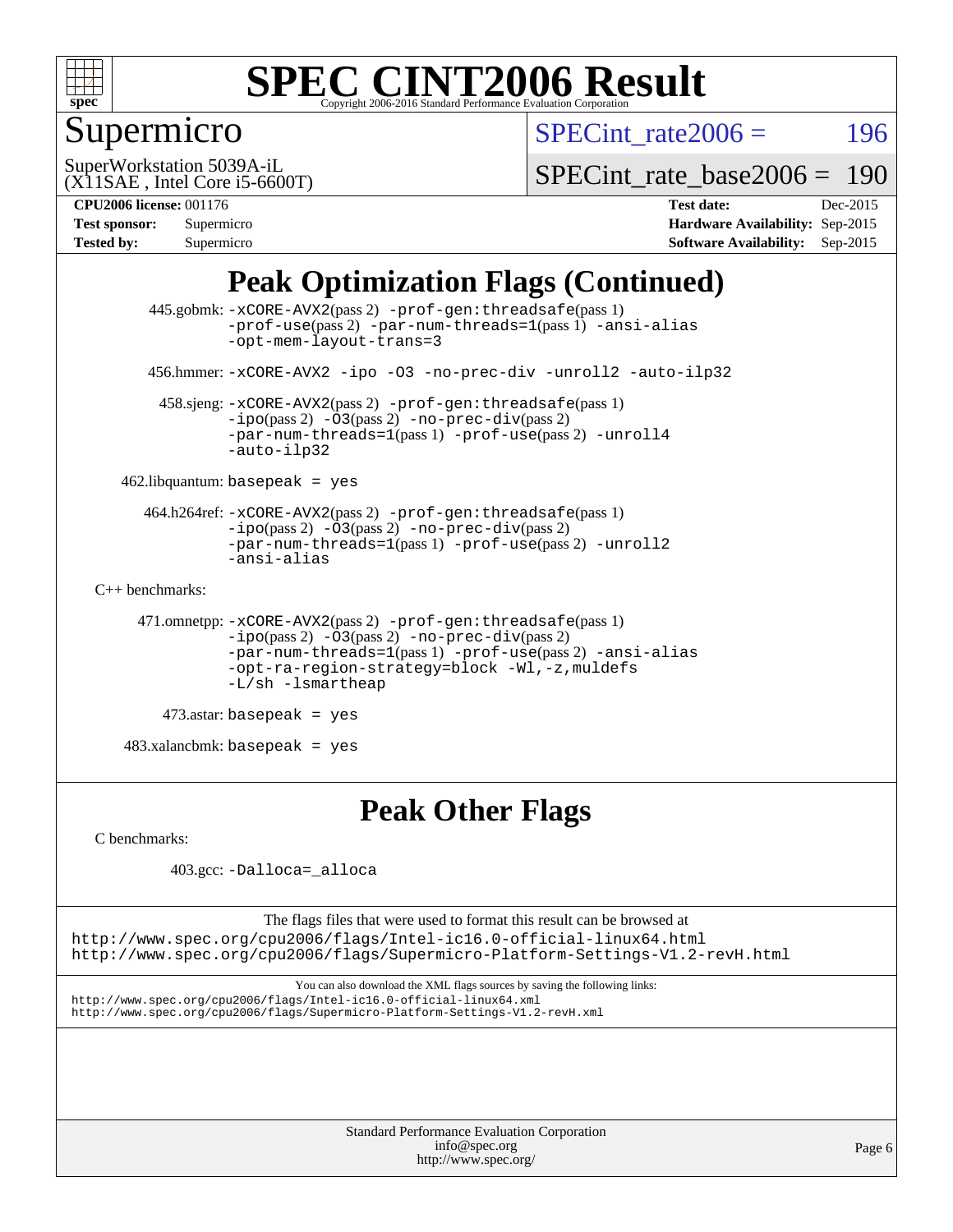

## Supermicro

SPECint rate $2006 = 196$ 

(X11SAE , Intel Core i5-6600T) SuperWorkstation 5039A-iL

[SPECint\\_rate\\_base2006 =](http://www.spec.org/auto/cpu2006/Docs/result-fields.html#SPECintratebase2006) 190

**[CPU2006 license:](http://www.spec.org/auto/cpu2006/Docs/result-fields.html#CPU2006license)** 001176 **[Test date:](http://www.spec.org/auto/cpu2006/Docs/result-fields.html#Testdate)** Dec-2015 **[Test sponsor:](http://www.spec.org/auto/cpu2006/Docs/result-fields.html#Testsponsor)** Supermicro **[Hardware Availability:](http://www.spec.org/auto/cpu2006/Docs/result-fields.html#HardwareAvailability)** Sep-2015 **[Tested by:](http://www.spec.org/auto/cpu2006/Docs/result-fields.html#Testedby)** Supermicro **Supermicro [Software Availability:](http://www.spec.org/auto/cpu2006/Docs/result-fields.html#SoftwareAvailability)** Sep-2015

### **[Peak Optimization Flags \(Continued\)](http://www.spec.org/auto/cpu2006/Docs/result-fields.html#PeakOptimizationFlags)**

```
 445.gobmk: -xCORE-AVX2(pass 2) -prof-gen:threadsafe(pass 1)
                -prof-use(pass 2) -par-num-threads=1(pass 1) -ansi-alias
                -opt-mem-layout-trans=3
       456.hmmer: -xCORE-AVX2 -ipo -O3 -no-prec-div -unroll2 -auto-ilp32
        458.sjeng: -xCORE-AVX2(pass 2) -prof-gen:threadsafe(pass 1)
                -i\text{po}(pass 2) -\overline{O}3(pass 2)-no-prec-div(pass 2)
                -par-num-threads=1-prof-use-unroll4
                -auto-ilp32
    462.libquantum: basepeak = yes
      464.h264ref: -xCORE-AVX2(pass 2) -prof-gen:threadsafe(pass 1)
                -ipo(pass 2) -O3(pass 2) -no-prec-div(pass 2)
               -par-num-threads=1(pass 1) -prof-use(pass 2) -unroll2
                -ansi-alias
C++ benchmarks: 
      471.omnetpp: -xCORE-AVX2(pass 2) -prof-gen:threadsafe(pass 1)
               -no-prec-div(pass 2)-par-num-threads=1(pass 1) -prof-use(pass 2) -ansi-alias
                -opt-ra-region-strategy=block -Wl,-z,muldefs
                -L/sh -lsmartheap
         473.astar: basepeak = yes
    483.xalancbmk: basepeak = yes
```
# **[Peak Other Flags](http://www.spec.org/auto/cpu2006/Docs/result-fields.html#PeakOtherFlags)**

[C benchmarks](http://www.spec.org/auto/cpu2006/Docs/result-fields.html#Cbenchmarks):

403.gcc: [-Dalloca=\\_alloca](http://www.spec.org/cpu2006/results/res2016q1/cpu2006-20151223-38507.flags.html#b403.gcc_peakEXTRA_CFLAGS_Dalloca_be3056838c12de2578596ca5467af7f3)

The flags files that were used to format this result can be browsed at <http://www.spec.org/cpu2006/flags/Intel-ic16.0-official-linux64.html> <http://www.spec.org/cpu2006/flags/Supermicro-Platform-Settings-V1.2-revH.html>

You can also download the XML flags sources by saving the following links: <http://www.spec.org/cpu2006/flags/Intel-ic16.0-official-linux64.xml> <http://www.spec.org/cpu2006/flags/Supermicro-Platform-Settings-V1.2-revH.xml>